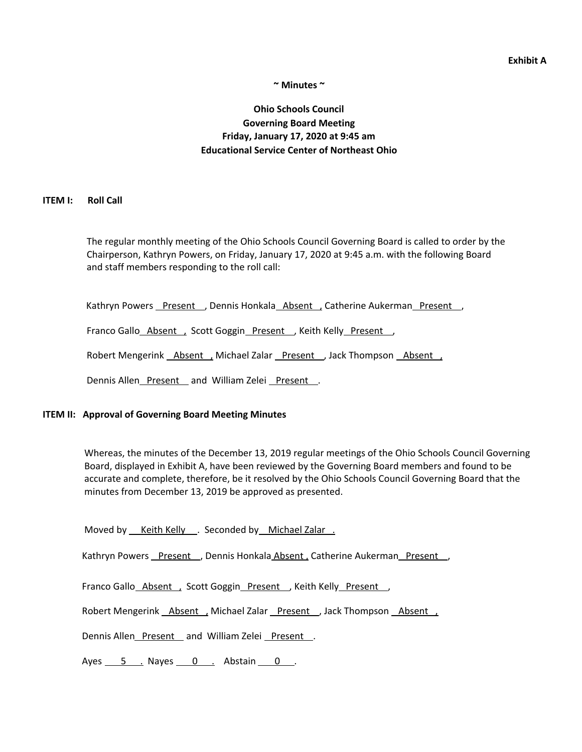# **~ Minutes ~**

# **Ohio Schools Council Governing Board Meeting Friday, January 17, 2020 at 9:45 am Educational Service Center of Northeast Ohio**

#### **ITEM I: Roll Call**

The regular monthly meeting of the Ohio Schools Council Governing Board is called to order by the Chairperson, Kathryn Powers, on Friday, January 17, 2020 at 9:45 a.m. with the following Board and staff members responding to the roll call:

Kathryn Powers Present , Dennis Honkala Absent , Catherine Aukerman Present ,

Franco Gallo\_Absent , Scott Goggin\_Present , Keith Kelly\_Present ,

Robert Mengerink Absent , Michael Zalar Present , Jack Thompson Absent ,

Dennis Allen\_Present\_and William Zelei\_Present\_.

### **ITEM II: Approval of Governing Board Meeting Minutes**

Whereas, the minutes of the December 13, 2019 regular meetings of the Ohio Schools Council Governing Board, displayed in Exhibit A, have been reviewed by the Governing Board members and found to be accurate and complete, therefore, be it resolved by the Ohio Schools Council Governing Board that the minutes from December 13, 2019 be approved as presented.

Moved by Keith Kelly . Seconded by Michael Zalar .

Kathryn Powers Present , Dennis Honkala Absent, Catherine Aukerman Present,

Franco Gallo\_Absent , Scott Goggin\_Present , Keith Kelly\_Present ,

Robert Mengerink **Absent** , Michael Zalar Present , Jack Thompson Absent ,

Dennis Allen\_Present\_and William Zelei \_Present\_.

Ayes  $\overline{5}$  . Nayes  $\overline{0}$  . Abstain  $\overline{0}$  .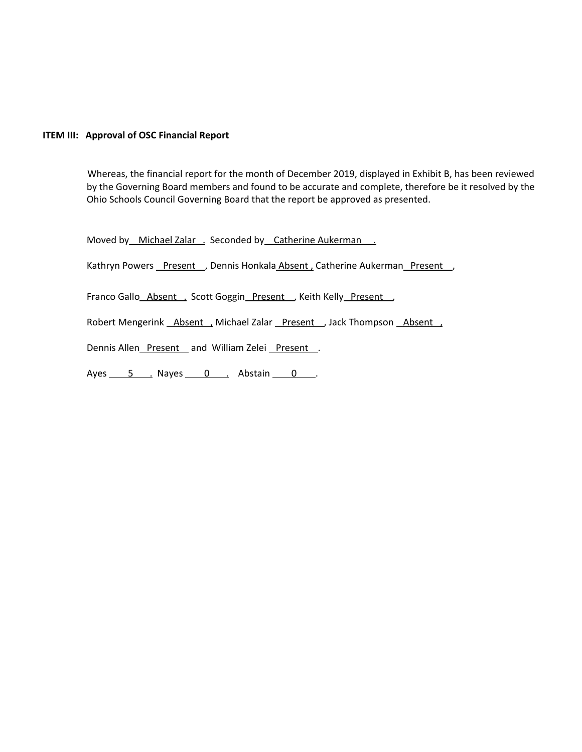# **ITEM III: Approval of OSC Financial Report**

Whereas, the financial report for the month of December 2019, displayed in Exhibit B, has been reviewed by the Governing Board members and found to be accurate and complete, therefore be it resolved by the Ohio Schools Council Governing Board that the report be approved as presented.

Moved by Michael Zalar . Seconded by Catherine Aukerman .

Kathryn Powers Present , Dennis Honkala Absent, Catherine Aukerman Present,

Franco Gallo\_Absent , Scott Goggin\_Present , Keith Kelly\_Present ,

Robert Mengerink Absent , Michael Zalar Present , Jack Thompson Absent ,

Dennis Allen\_Present\_and William Zelei\_Present\_.

Ayes 5 . Nayes 0 . Abstain 0 .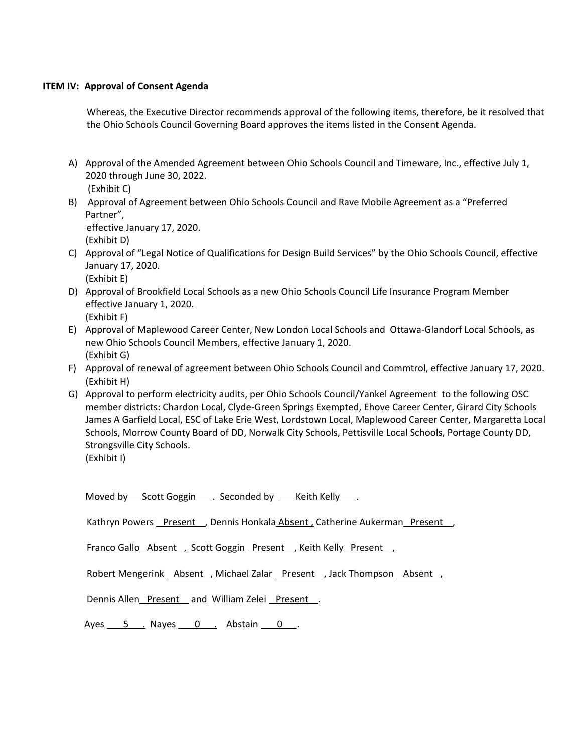# **ITEM IV: Approval of Consent Agenda**

Whereas, the Executive Director recommends approval of the following items, therefore, be it resolved that the Ohio Schools Council Governing Board approves the items listed in the Consent Agenda.

- A) Approval of the Amended Agreement between Ohio Schools Council and Timeware, Inc., effective July 1, 2020 through June 30, 2022.
	- (Exhibit C)
- B) Approval of Agreement between Ohio Schools Council and Rave Mobile Agreement as a "Preferred Partner", effective January 17, 2020.

(Exhibit D)

- C) Approval of "Legal Notice of Qualifications for Design Build Services" by the Ohio Schools Council, effective January 17, 2020. (Exhibit E)
- D) Approval of Brookfield Local Schools as a new Ohio Schools Council Life Insurance Program Member effective January 1, 2020. (Exhibit F)
- E) Approval of Maplewood Career Center, New London Local Schools and Ottawa-Glandorf Local Schools, as new Ohio Schools Council Members, effective January 1, 2020. (Exhibit G)
- F) Approval of renewal of agreement between Ohio Schools Council and Commtrol, effective January 17, 2020. (Exhibit H)
- G) Approval to perform electricity audits, per Ohio Schools Council/Yankel Agreement to the following OSC member districts: Chardon Local, Clyde-Green Springs Exempted, Ehove Career Center, Girard City Schools James A Garfield Local, ESC of Lake Erie West, Lordstown Local, Maplewood Career Center, Margaretta Local Schools, Morrow County Board of DD, Norwalk City Schools, Pettisville Local Schools, Portage County DD, Strongsville City Schools.

Moved by Scott Goggin . Seconded by \_ Keith Kelly ...

Kathryn Powers Present , Dennis Honkala Absent, Catherine Aukerman Present

Franco Gallo\_Absent , Scott Goggin\_Present , Keith Kelly\_Present ,

Robert Mengerink Absent , Michael Zalar Present , Jack Thompson Absent ,

Dennis Allen\_Present \_ and William Zelei Present .

Ayes  $\frac{5}{2}$  Nayes  $\frac{0}{2}$  Abstain  $\frac{0}{2}$ .

<sup>(</sup>Exhibit I)